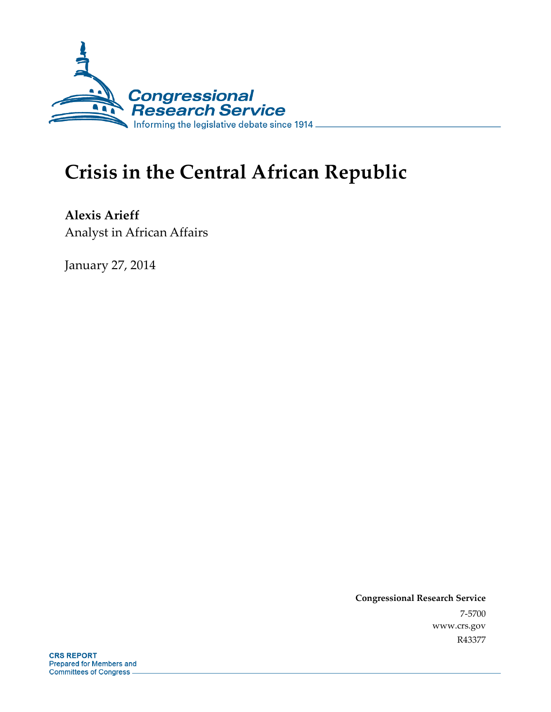

# **Crisis in the Central African Republic**

**Alexis Arieff**  Analyst in African Affairs

January 27, 2014

**Congressional Research Service**  7-5700 www.crs.gov R43377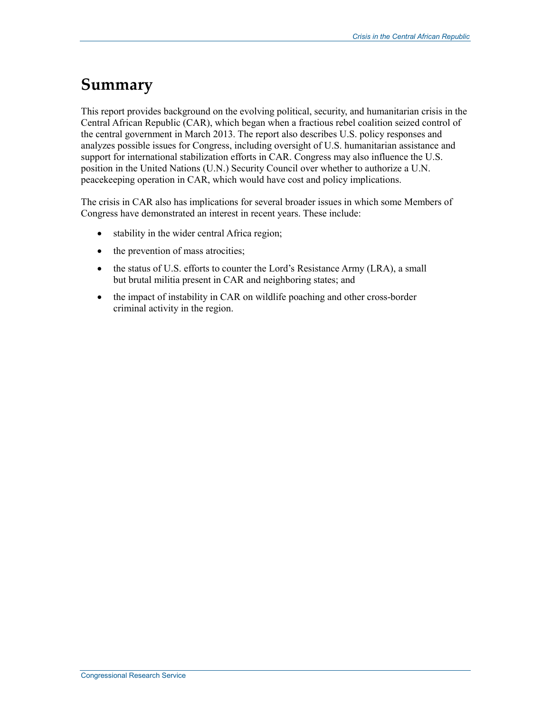## **Summary**

This report provides background on the evolving political, security, and humanitarian crisis in the Central African Republic (CAR), which began when a fractious rebel coalition seized control of the central government in March 2013. The report also describes U.S. policy responses and analyzes possible issues for Congress, including oversight of U.S. humanitarian assistance and support for international stabilization efforts in CAR. Congress may also influence the U.S. position in the United Nations (U.N.) Security Council over whether to authorize a U.N. peacekeeping operation in CAR, which would have cost and policy implications.

The crisis in CAR also has implications for several broader issues in which some Members of Congress have demonstrated an interest in recent years. These include:

- stability in the wider central Africa region;
- the prevention of mass atrocities;
- the status of U.S. efforts to counter the Lord's Resistance Army (LRA), a small but brutal militia present in CAR and neighboring states; and
- the impact of instability in CAR on wildlife poaching and other cross-border criminal activity in the region.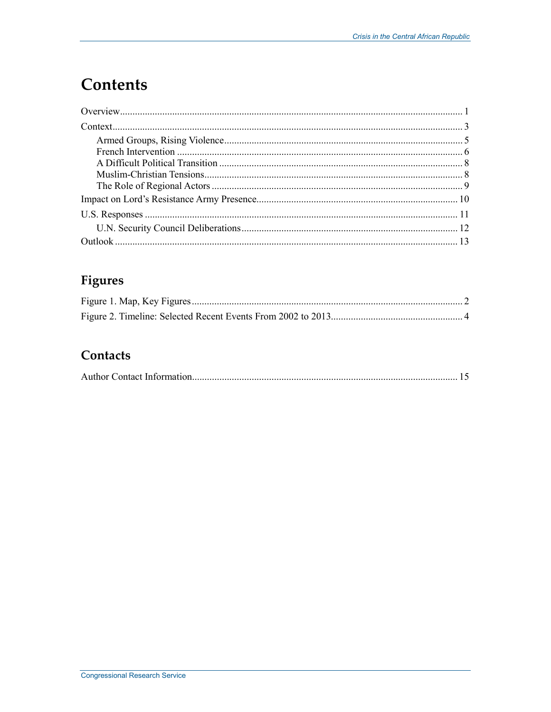# **Contents**

### **Figures**

### Contacts

|--|--|--|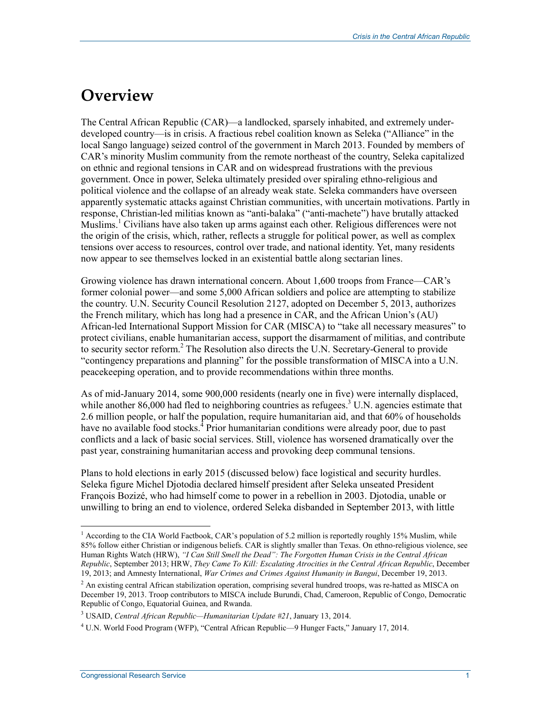### **Overview**

The Central African Republic (CAR)—a landlocked, sparsely inhabited, and extremely underdeveloped country—is in crisis. A fractious rebel coalition known as Seleka ("Alliance" in the local Sango language) seized control of the government in March 2013. Founded by members of CAR's minority Muslim community from the remote northeast of the country, Seleka capitalized on ethnic and regional tensions in CAR and on widespread frustrations with the previous government. Once in power, Seleka ultimately presided over spiraling ethno-religious and political violence and the collapse of an already weak state. Seleka commanders have overseen apparently systematic attacks against Christian communities, with uncertain motivations. Partly in response, Christian-led militias known as "anti-balaka" ("anti-machete") have brutally attacked Muslims.<sup>1</sup> Civilians have also taken up arms against each other. Religious differences were not the origin of the crisis, which, rather, reflects a struggle for political power, as well as complex tensions over access to resources, control over trade, and national identity. Yet, many residents now appear to see themselves locked in an existential battle along sectarian lines.

Growing violence has drawn international concern. About 1,600 troops from France—CAR's former colonial power—and some 5,000 African soldiers and police are attempting to stabilize the country. U.N. Security Council Resolution 2127, adopted on December 5, 2013, authorizes the French military, which has long had a presence in CAR, and the African Union's (AU) African-led International Support Mission for CAR (MISCA) to "take all necessary measures" to protect civilians, enable humanitarian access, support the disarmament of militias, and contribute to security sector reform.<sup>2</sup> The Resolution also directs the U.N. Secretary-General to provide "contingency preparations and planning" for the possible transformation of MISCA into a U.N. peacekeeping operation, and to provide recommendations within three months.

As of mid-January 2014, some 900,000 residents (nearly one in five) were internally displaced, while another 86,000 had fled to neighboring countries as refugees.<sup>3</sup> U.N. agencies estimate that 2.6 million people, or half the population, require humanitarian aid, and that 60% of households have no available food stocks.<sup>4</sup> Prior humanitarian conditions were already poor, due to past conflicts and a lack of basic social services. Still, violence has worsened dramatically over the past year, constraining humanitarian access and provoking deep communal tensions.

Plans to hold elections in early 2015 (discussed below) face logistical and security hurdles. Seleka figure Michel Djotodia declared himself president after Seleka unseated President François Bozizé, who had himself come to power in a rebellion in 2003. Djotodia, unable or unwilling to bring an end to violence, ordered Seleka disbanded in September 2013, with little

<sup>&</sup>lt;sup>1</sup> According to the CIA World Factbook, CAR's population of 5.2 million is reportedly roughly 15% Muslim, while 85% follow either Christian or indigenous beliefs. CAR is slightly smaller than Texas. On ethno-religious violence, see Human Rights Watch (HRW), *"I Can Still Smell the Dead": The Forgotten Human Crisis in the Central African Republic*, September 2013; HRW, *They Came To Kill: Escalating Atrocities in the Central African Republic*, December 19, 2013; and Amnesty International, *War Crimes and Crimes Against Humanity in Bangui*, December 19, 2013.

<sup>&</sup>lt;sup>2</sup> An existing central African stabilization operation, comprising several hundred troops, was re-hatted as MISCA on December 19, 2013. Troop contributors to MISCA include Burundi, Chad, Cameroon, Republic of Congo, Democratic Republic of Congo, Equatorial Guinea, and Rwanda.

<sup>3</sup> USAID, *Central African Republic—Humanitarian Update #21*, January 13, 2014.

<sup>&</sup>lt;sup>4</sup> U.N. World Food Program (WFP), "Central African Republic—9 Hunger Facts," January 17, 2014.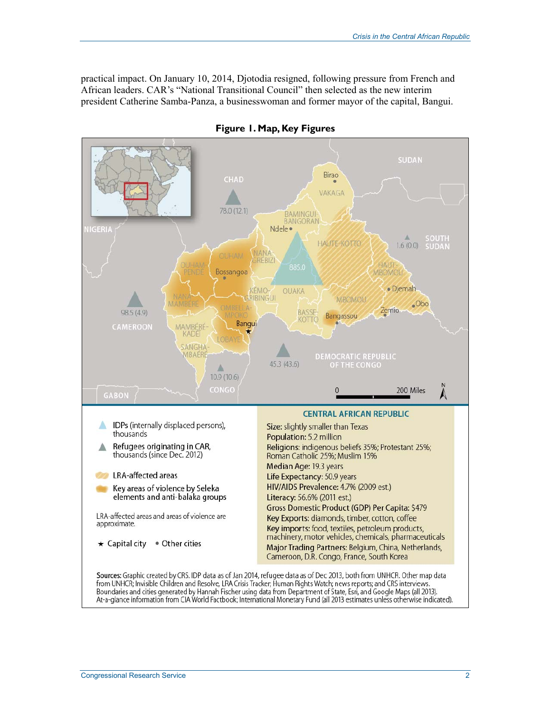practical impact. On January 10, 2014, Djotodia resigned, following pressure from French and African leaders. CAR's "National Transitional Council" then selected as the new interim president Catherine Samba-Panza, a businesswoman and former mayor of the capital, Bangui.



**Figure 1. Map, Key Figures** 

from UNHCR; Invisible Children and Resolve, LRA Crisis Tracker; Human Rights Watch; news reports; and CRS interviews. Boundaries and cities generated by Hannah Fischer using data from Department of State, Esri, and Google Maps (all 2013). At-a-glance information from CIA World Factbook; International Monetary Fund (all 2013 estimates unless otherwise indicated).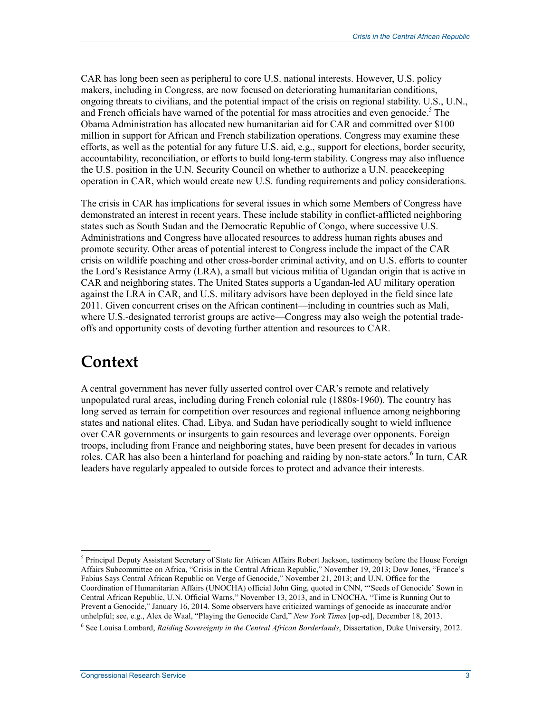CAR has long been seen as peripheral to core U.S. national interests. However, U.S. policy makers, including in Congress, are now focused on deteriorating humanitarian conditions, ongoing threats to civilians, and the potential impact of the crisis on regional stability. U.S., U.N., and French officials have warned of the potential for mass atrocities and even genocide.<sup>5</sup> The Obama Administration has allocated new humanitarian aid for CAR and committed over \$100 million in support for African and French stabilization operations. Congress may examine these efforts, as well as the potential for any future U.S. aid, e.g., support for elections, border security, accountability, reconciliation, or efforts to build long-term stability. Congress may also influence the U.S. position in the U.N. Security Council on whether to authorize a U.N. peacekeeping operation in CAR, which would create new U.S. funding requirements and policy considerations.

The crisis in CAR has implications for several issues in which some Members of Congress have demonstrated an interest in recent years. These include stability in conflict-afflicted neighboring states such as South Sudan and the Democratic Republic of Congo, where successive U.S. Administrations and Congress have allocated resources to address human rights abuses and promote security. Other areas of potential interest to Congress include the impact of the CAR crisis on wildlife poaching and other cross-border criminal activity, and on U.S. efforts to counter the Lord's Resistance Army (LRA), a small but vicious militia of Ugandan origin that is active in CAR and neighboring states. The United States supports a Ugandan-led AU military operation against the LRA in CAR, and U.S. military advisors have been deployed in the field since late 2011. Given concurrent crises on the African continent—including in countries such as Mali, where U.S.-designated terrorist groups are active—Congress may also weigh the potential tradeoffs and opportunity costs of devoting further attention and resources to CAR.

### **Context**

1

A central government has never fully asserted control over CAR's remote and relatively unpopulated rural areas, including during French colonial rule (1880s-1960). The country has long served as terrain for competition over resources and regional influence among neighboring states and national elites. Chad, Libya, and Sudan have periodically sought to wield influence over CAR governments or insurgents to gain resources and leverage over opponents. Foreign troops, including from France and neighboring states, have been present for decades in various roles. CAR has also been a hinterland for poaching and raiding by non-state actors.<sup>6</sup> In turn, CAR leaders have regularly appealed to outside forces to protect and advance their interests.

<sup>&</sup>lt;sup>5</sup> Principal Deputy Assistant Secretary of State for African Affairs Robert Jackson, testimony before the House Foreign Affairs Subcommittee on Africa, "Crisis in the Central African Republic," November 19, 2013; Dow Jones, "France's Fabius Says Central African Republic on Verge of Genocide," November 21, 2013; and U.N. Office for the Coordination of Humanitarian Affairs (UNOCHA) official John Ging, quoted in CNN, "'Seeds of Genocide' Sown in Central African Republic, U.N. Official Warns," November 13, 2013, and in UNOCHA, "Time is Running Out to Prevent a Genocide," January 16, 2014. Some observers have criticized warnings of genocide as inaccurate and/or unhelpful; see, e.g., Alex de Waal, "Playing the Genocide Card," *New York Times* [op-ed], December 18, 2013.

<sup>6</sup> See Louisa Lombard, *Raiding Sovereignty in the Central African Borderlands*, Dissertation, Duke University, 2012.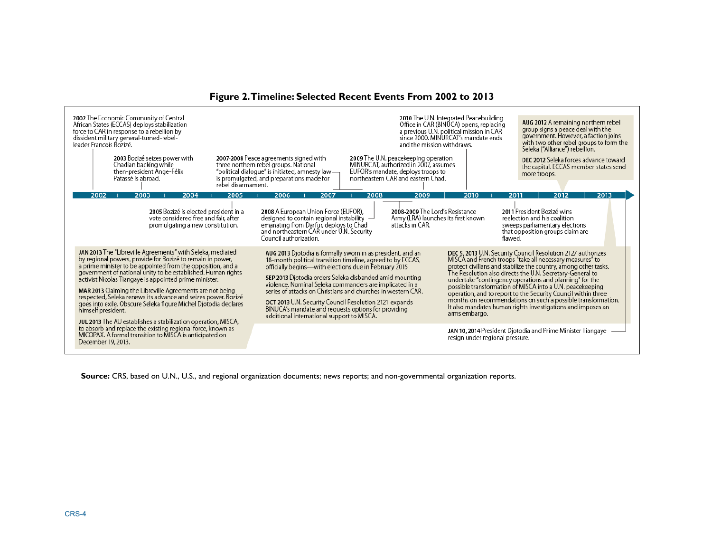| 2002 The Economic Community of Central<br>African States (ECCAS) deploys stabilization<br>force to CAR in response to a rebellion by<br>dissident military general-turned-rebel-<br>leader Francois Bozizé.<br>2003 Bozizé seizes power with<br>Chadian backing while<br>then-president Ange-Félix<br>Patassé is abroad.<br>rebel disarmament.                                                                                                                                                                                                                                                            | and the mission withdraws.<br>2007-2008 Peace agreements signed with<br>2009 The U.N. peacekeeping operation<br>MINURCAT, authorized in 2007, assumes<br>three northern rebel groups. National<br>"political dialogue" is initiated, amnesty law -<br>EUFOR's mandate, deploys troops to<br>northeastern CAR and eastern Chad.<br>is promulgated, and preparations made for                                                                                                                                                              | 2010 The U.N. Integrated Peacebuilding<br>AUG 2012 A remaining northern rebel<br>Office in CAR (BINUCA) opens, replacing<br>group signs a peace deal with the<br>a previous U.N. political mission in CAR<br>since 2000. MINURCAT's mandate ends<br>government. However, a faction joins<br>with two other rebel groups to form the<br>Seleka ("Alliance") rebellion.<br>DEC 2012 Seleka forces advance toward<br>the capital. ECCAS member-states send<br>more troops.                                                                                                                           |
|-----------------------------------------------------------------------------------------------------------------------------------------------------------------------------------------------------------------------------------------------------------------------------------------------------------------------------------------------------------------------------------------------------------------------------------------------------------------------------------------------------------------------------------------------------------------------------------------------------------|------------------------------------------------------------------------------------------------------------------------------------------------------------------------------------------------------------------------------------------------------------------------------------------------------------------------------------------------------------------------------------------------------------------------------------------------------------------------------------------------------------------------------------------|---------------------------------------------------------------------------------------------------------------------------------------------------------------------------------------------------------------------------------------------------------------------------------------------------------------------------------------------------------------------------------------------------------------------------------------------------------------------------------------------------------------------------------------------------------------------------------------------------|
| 2002<br>2003<br>2004<br>2005                                                                                                                                                                                                                                                                                                                                                                                                                                                                                                                                                                              | 2006<br>2007<br>2008<br>2009                                                                                                                                                                                                                                                                                                                                                                                                                                                                                                             | 2013<br>2010<br>2012<br>2011                                                                                                                                                                                                                                                                                                                                                                                                                                                                                                                                                                      |
| 2005 Bozizé is elected president in a<br>vote considered free and fair, after<br>promulgating a new constitution.                                                                                                                                                                                                                                                                                                                                                                                                                                                                                         | 2008-2009 The Lord's Resistance<br>2008 A European Union Force (EUFOR),<br>designed to contain regional instability $\Box$<br>Army (LRA) launches its first known<br>emanating from Darfur, deploys to Chad<br>attacks in CAR.<br>and northeastern CAR under U.N. Security<br>Council authorization.                                                                                                                                                                                                                                     | 2011 President Bozizé wins<br>reelection and his coalition<br>sweeps parliamentary elections<br>that opposition groups claim are<br>flawed.                                                                                                                                                                                                                                                                                                                                                                                                                                                       |
| JAN 2013 The "Libreville Agreements" with Seleka, mediated<br>by regional powers, provide for Bozizé to remain in power,<br>a prime minister to be appointed from the opposition, and a<br>government of national unity to be established. Human rights<br>activist Nicolas Tiangaye is appointed prime minister.<br>MAR 2013 Claiming the Libreville Agreements are not being<br>respected, Seleka renews its advance and seizes power. Bozizé<br>goes into exile. Obscure Seleka figure Michel Djotodia declares<br>himself president.<br>JUL 2013 The AU establishes a stabilization operation, MISCA, | AUG 2013 Djotodia is formally sworn in as president, and an<br>18-month political transition timeline, agreed to by ECCAS,<br>officially begins—with elections due in February 2015<br>SEP 2013 Djotodia orders Seleka disbanded amid mounting<br>violence. Nominal Seleka commanders are implicated in a<br>series of attacks on Christians and churches in western CAR.<br>OCT 2013 U.N. Security Council Resolution 2121 expands<br>BINUCA's mandate and requests options for providing<br>additional international support to MISCA. | DEC 5, 2013 U.N. Security Council Resolution 2127 authorizes<br>MISCA and French troops "take all necessary measures" to<br>protect civilians and stabilize the country, among other tasks.<br>The Resolution also directs the U.N. Secretary-General to<br>undertake "contingency operations and planning" for the<br>possible transformation of MISCA into a U.N. peacekeeping<br>operation, and to report to the Security Council within three<br>months on recommendations on such a possible transformation.<br>It also mandates human rights investigations and imposes an<br>arms embargo. |
| to absorb and replace the existing regional force, known as<br>MICOPAX. A formal transition to MISCA is anticipated on<br>December 19, 2013.                                                                                                                                                                                                                                                                                                                                                                                                                                                              |                                                                                                                                                                                                                                                                                                                                                                                                                                                                                                                                          | JAN 10, 2014 President Djotodia and Prime Minister Tiangaye<br>resign under regional pressure.                                                                                                                                                                                                                                                                                                                                                                                                                                                                                                    |

**Source:** CRS, based on U.N., U.S., and regional organization documents; news reports; and non-governmental organization reports.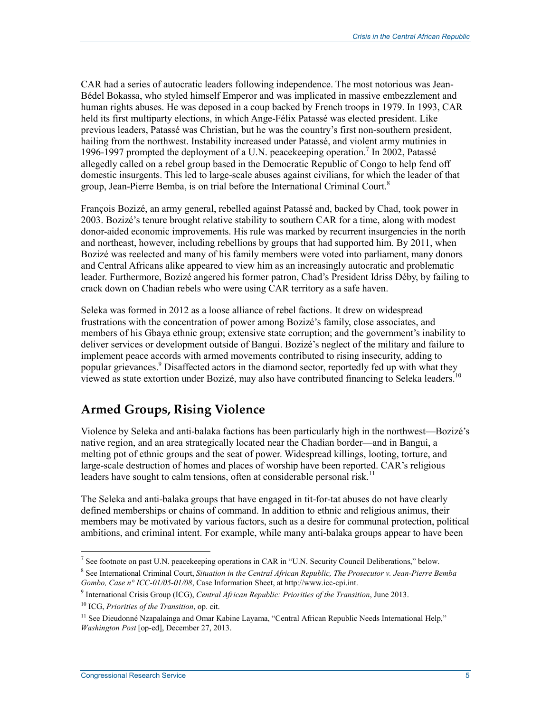CAR had a series of autocratic leaders following independence. The most notorious was Jean-Bédel Bokassa, who styled himself Emperor and was implicated in massive embezzlement and human rights abuses. He was deposed in a coup backed by French troops in 1979. In 1993, CAR held its first multiparty elections, in which Ange-Félix Patassé was elected president. Like previous leaders, Patassé was Christian, but he was the country's first non-southern president, hailing from the northwest. Instability increased under Patassé, and violent army mutinies in 1996-1997 prompted the deployment of a U.N. peacekeeping operation.<sup>7</sup> In 2002, Patassé allegedly called on a rebel group based in the Democratic Republic of Congo to help fend off domestic insurgents. This led to large-scale abuses against civilians, for which the leader of that group, Jean-Pierre Bemba, is on trial before the International Criminal Court.<sup>8</sup>

François Bozizé, an army general, rebelled against Patassé and, backed by Chad, took power in 2003. Bozizé's tenure brought relative stability to southern CAR for a time, along with modest donor-aided economic improvements. His rule was marked by recurrent insurgencies in the north and northeast, however, including rebellions by groups that had supported him. By 2011, when Bozizé was reelected and many of his family members were voted into parliament, many donors and Central Africans alike appeared to view him as an increasingly autocratic and problematic leader. Furthermore, Bozizé angered his former patron, Chad's President Idriss Déby, by failing to crack down on Chadian rebels who were using CAR territory as a safe haven.

Seleka was formed in 2012 as a loose alliance of rebel factions. It drew on widespread frustrations with the concentration of power among Bozizé's family, close associates, and members of his Gbaya ethnic group; extensive state corruption; and the government's inability to deliver services or development outside of Bangui. Bozizé's neglect of the military and failure to implement peace accords with armed movements contributed to rising insecurity, adding to popular grievances.<sup>9</sup> Disaffected actors in the diamond sector, reportedly fed up with what they viewed as state extortion under Bozizé, may also have contributed financing to Seleka leaders.<sup>10</sup>

#### **Armed Groups, Rising Violence**

Violence by Seleka and anti-balaka factions has been particularly high in the northwest—Bozizé's native region, and an area strategically located near the Chadian border—and in Bangui, a melting pot of ethnic groups and the seat of power. Widespread killings, looting, torture, and large-scale destruction of homes and places of worship have been reported. CAR's religious leaders have sought to calm tensions, often at considerable personal risk.<sup>11</sup>

The Seleka and anti-balaka groups that have engaged in tit-for-tat abuses do not have clearly defined memberships or chains of command. In addition to ethnic and religious animus, their members may be motivated by various factors, such as a desire for communal protection, political ambitions, and criminal intent. For example, while many anti-balaka groups appear to have been

The set footnote on past U.N. peacekeeping operations in CAR in "U.N. Security Council Deliberations," below.

<sup>8</sup> See International Criminal Court, *Situation in the Central African Republic, The Prosecutor v. Jean-Pierre Bemba Gombo, Case n° ICC-01/05-01/08*, Case Information Sheet, at http://www.icc-cpi.int.

<sup>9</sup> International Crisis Group (ICG), *Central African Republic: Priorities of the Transition*, June 2013.

<sup>10</sup> ICG, *Priorities of the Transition*, op. cit.

<sup>&</sup>lt;sup>11</sup> See Dieudonné Nzapalainga and Omar Kabine Layama, "Central African Republic Needs International Help," *Washington Post* [op-ed], December 27, 2013.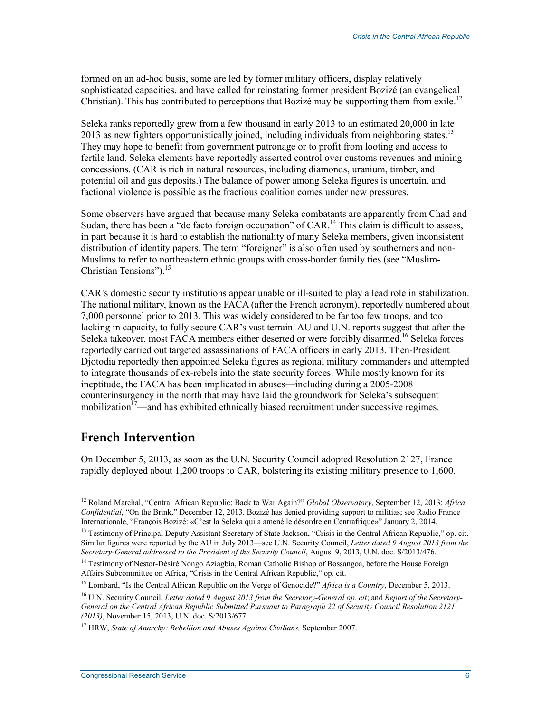formed on an ad-hoc basis, some are led by former military officers, display relatively sophisticated capacities, and have called for reinstating former president Bozizé (an evangelical Christian). This has contributed to perceptions that Bozizé may be supporting them from exile.<sup>12</sup>

Seleka ranks reportedly grew from a few thousand in early 2013 to an estimated 20,000 in late 2013 as new fighters opportunistically joined, including individuals from neighboring states.<sup>13</sup> They may hope to benefit from government patronage or to profit from looting and access to fertile land. Seleka elements have reportedly asserted control over customs revenues and mining concessions. (CAR is rich in natural resources, including diamonds, uranium, timber, and potential oil and gas deposits.) The balance of power among Seleka figures is uncertain, and factional violence is possible as the fractious coalition comes under new pressures.

Some observers have argued that because many Seleka combatants are apparently from Chad and Sudan, there has been a "de facto foreign occupation" of CAR.<sup>14</sup> This claim is difficult to assess, in part because it is hard to establish the nationality of many Seleka members, given inconsistent distribution of identity papers. The term "foreigner" is also often used by southerners and non-Muslims to refer to northeastern ethnic groups with cross-border family ties (see "Muslim-Christian Tensions").<sup>15</sup>

CAR's domestic security institutions appear unable or ill-suited to play a lead role in stabilization. The national military, known as the FACA (after the French acronym), reportedly numbered about 7,000 personnel prior to 2013. This was widely considered to be far too few troops, and too lacking in capacity, to fully secure CAR's vast terrain. AU and U.N. reports suggest that after the Seleka takeover, most FACA members either deserted or were forcibly disarmed.<sup>16</sup> Seleka forces reportedly carried out targeted assassinations of FACA officers in early 2013. Then-President Djotodia reportedly then appointed Seleka figures as regional military commanders and attempted to integrate thousands of ex-rebels into the state security forces. While mostly known for its ineptitude, the FACA has been implicated in abuses—including during a 2005-2008 counterinsurgency in the north that may have laid the groundwork for Seleka's subsequent mobilization<sup> $17$ </sup>—and has exhibited ethnically biased recruitment under successive regimes.

#### **French Intervention**

<u>.</u>

On December 5, 2013, as soon as the U.N. Security Council adopted Resolution 2127, France rapidly deployed about 1,200 troops to CAR, bolstering its existing military presence to 1,600.

<sup>12</sup> Roland Marchal, "Central African Republic: Back to War Again?" *Global Observatory*, September 12, 2013; *Africa Confidential*, "On the Brink," December 12, 2013. Bozizé has denied providing support to militias; see Radio France Internationale, "François Bozizé: «C'est la Seleka qui a amené le désordre en Centrafrique»" January 2, 2014.

<sup>&</sup>lt;sup>13</sup> Testimony of Principal Deputy Assistant Secretary of State Jackson, "Crisis in the Central African Republic," op. cit. Similar figures were reported by the AU in July 2013—see U.N. Security Council, *Letter dated 9 August 2013 from the Secretary-General addressed to the President of the Security Council*, August 9, 2013, U.N. doc. S/2013/476.

<sup>&</sup>lt;sup>14</sup> Testimony of Nestor-Désiré Nongo Aziagbia, Roman Catholic Bishop of Bossangoa, before the House Foreign Affairs Subcommittee on Africa, "Crisis in the Central African Republic," op. cit.

<sup>15</sup> Lombard, "Is the Central African Republic on the Verge of Genocide?" *Africa is a Country*, December 5, 2013.

<sup>16</sup> U.N. Security Council, *Letter dated 9 August 2013 from the Secretary-General op. cit*; and *Report of the Secretary-General on the Central African Republic Submitted Pursuant to Paragraph 22 of Security Council Resolution 2121 (2013)*, November 15, 2013, U.N. doc. S/2013/677.

<sup>17</sup> HRW, *State of Anarchy: Rebellion and Abuses Against Civilians,* September 2007.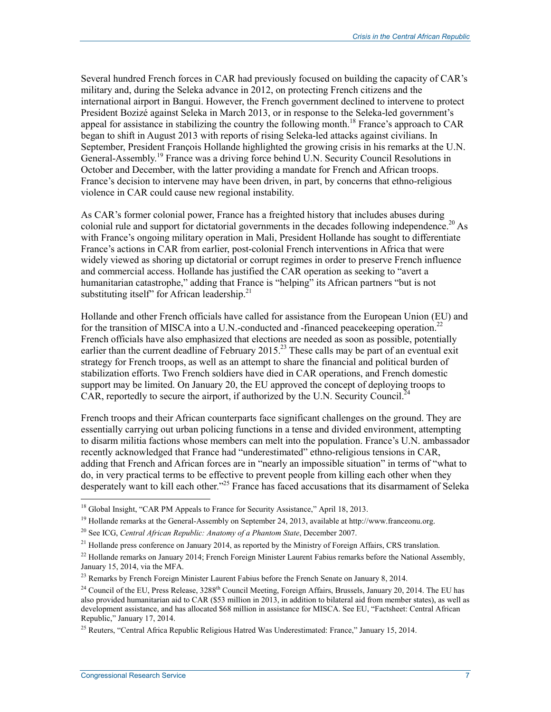Several hundred French forces in CAR had previously focused on building the capacity of CAR's military and, during the Seleka advance in 2012, on protecting French citizens and the international airport in Bangui. However, the French government declined to intervene to protect President Bozizé against Seleka in March 2013, or in response to the Seleka-led government's appeal for assistance in stabilizing the country the following month.<sup>18</sup> France's approach to CAR began to shift in August 2013 with reports of rising Seleka-led attacks against civilians. In September, President François Hollande highlighted the growing crisis in his remarks at the U.N. General-Assembly.<sup>19</sup> France was a driving force behind U.N. Security Council Resolutions in October and December, with the latter providing a mandate for French and African troops. France's decision to intervene may have been driven, in part, by concerns that ethno-religious violence in CAR could cause new regional instability.

As CAR's former colonial power, France has a freighted history that includes abuses during colonial rule and support for dictatorial governments in the decades following independence.<sup>20</sup> As with France's ongoing military operation in Mali, President Hollande has sought to differentiate France's actions in CAR from earlier, post-colonial French interventions in Africa that were widely viewed as shoring up dictatorial or corrupt regimes in order to preserve French influence and commercial access. Hollande has justified the CAR operation as seeking to "avert a humanitarian catastrophe," adding that France is "helping" its African partners "but is not substituting itself" for African leadership. $21$ 

Hollande and other French officials have called for assistance from the European Union (EU) and for the transition of MISCA into a U.N.-conducted and -financed peacekeeping operation.<sup>22</sup> French officials have also emphasized that elections are needed as soon as possible, potentially earlier than the current deadline of February  $2015<sup>23</sup>$  These calls may be part of an eventual exit strategy for French troops, as well as an attempt to share the financial and political burden of stabilization efforts. Two French soldiers have died in CAR operations, and French domestic support may be limited. On January 20, the EU approved the concept of deploying troops to  $CAR$ , reportedly to secure the airport, if authorized by the U.N. Security Council.<sup>24</sup>

French troops and their African counterparts face significant challenges on the ground. They are essentially carrying out urban policing functions in a tense and divided environment, attempting to disarm militia factions whose members can melt into the population. France's U.N. ambassador recently acknowledged that France had "underestimated" ethno-religious tensions in CAR, adding that French and African forces are in "nearly an impossible situation" in terms of "what to do, in very practical terms to be effective to prevent people from killing each other when they desperately want to kill each other."25 France has faced accusations that its disarmament of Seleka

<sup>&</sup>lt;sup>18</sup> Global Insight, "CAR PM Appeals to France for Security Assistance," April 18, 2013.

<sup>&</sup>lt;sup>19</sup> Hollande remarks at the General-Assembly on September 24, 2013, available at http://www.franceonu.org.

<sup>20</sup> See ICG, *Central African Republic: Anatomy of a Phantom State*, December 2007.

<sup>&</sup>lt;sup>21</sup> Hollande press conference on January 2014, as reported by the Ministry of Foreign Affairs, CRS translation.

<sup>&</sup>lt;sup>22</sup> Hollande remarks on January 2014; French Foreign Minister Laurent Fabius remarks before the National Assembly, January 15, 2014, via the MFA.

<sup>&</sup>lt;sup>23</sup> Remarks by French Foreign Minister Laurent Fabius before the French Senate on January 8, 2014.

<sup>&</sup>lt;sup>24</sup> Council of the EU, Press Release, 3288<sup>th</sup> Council Meeting, Foreign Affairs, Brussels, January 20, 2014. The EU has also provided humanitarian aid to CAR (\$53 million in 2013, in addition to bilateral aid from member states), as well as development assistance, and has allocated \$68 million in assistance for MISCA. See EU, "Factsheet: Central African Republic," January 17, 2014.

<sup>&</sup>lt;sup>25</sup> Reuters, "Central Africa Republic Religious Hatred Was Underestimated: France," January 15, 2014.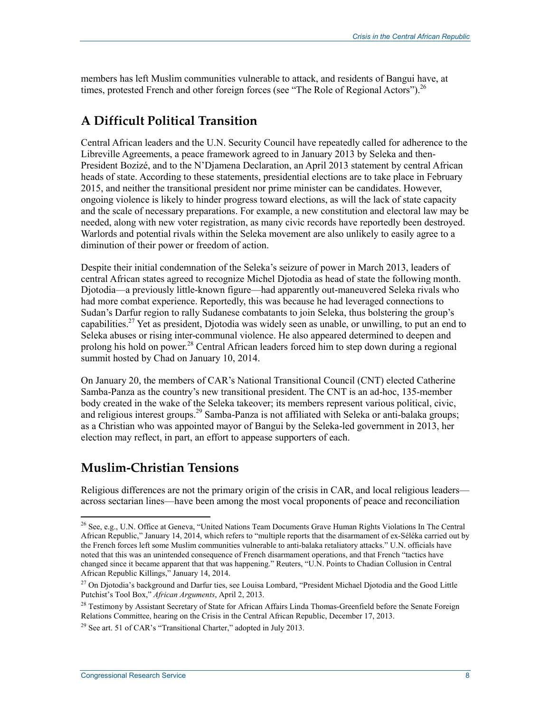members has left Muslim communities vulnerable to attack, and residents of Bangui have, at times, protested French and other foreign forces (see "The Role of Regional Actors").<sup>26</sup>

#### **A Difficult Political Transition**

Central African leaders and the U.N. Security Council have repeatedly called for adherence to the Libreville Agreements, a peace framework agreed to in January 2013 by Seleka and then-President Bozizé, and to the N'Djamena Declaration, an April 2013 statement by central African heads of state. According to these statements, presidential elections are to take place in February 2015, and neither the transitional president nor prime minister can be candidates. However, ongoing violence is likely to hinder progress toward elections, as will the lack of state capacity and the scale of necessary preparations. For example, a new constitution and electoral law may be needed, along with new voter registration, as many civic records have reportedly been destroyed. Warlords and potential rivals within the Seleka movement are also unlikely to easily agree to a diminution of their power or freedom of action.

Despite their initial condemnation of the Seleka's seizure of power in March 2013, leaders of central African states agreed to recognize Michel Djotodia as head of state the following month. Djotodia—a previously little-known figure—had apparently out-maneuvered Seleka rivals who had more combat experience. Reportedly, this was because he had leveraged connections to Sudan's Darfur region to rally Sudanese combatants to join Seleka, thus bolstering the group's capabilities.<sup>27</sup> Yet as president, Djotodia was widely seen as unable, or unwilling, to put an end to Seleka abuses or rising inter-communal violence. He also appeared determined to deepen and prolong his hold on power.<sup>28</sup> Central African leaders forced him to step down during a regional summit hosted by Chad on January 10, 2014.

On January 20, the members of CAR's National Transitional Council (CNT) elected Catherine Samba-Panza as the country's new transitional president. The CNT is an ad-hoc, 135-member body created in the wake of the Seleka takeover; its members represent various political, civic, and religious interest groups.<sup>29</sup> Samba-Panza is not affiliated with Seleka or anti-balaka groups; as a Christian who was appointed mayor of Bangui by the Seleka-led government in 2013, her election may reflect, in part, an effort to appease supporters of each.

#### **Muslim-Christian Tensions**

Religious differences are not the primary origin of the crisis in CAR, and local religious leaders across sectarian lines—have been among the most vocal proponents of peace and reconciliation

<u>.</u>

<sup>&</sup>lt;sup>26</sup> See, e.g., U.N. Office at Geneva, "United Nations Team Documents Grave Human Rights Violations In The Central African Republic," January 14, 2014, which refers to "multiple reports that the disarmament of ex-Séléka carried out by the French forces left some Muslim communities vulnerable to anti-balaka retaliatory attacks." U.N. officials have noted that this was an unintended consequence of French disarmament operations, and that French "tactics have changed since it became apparent that that was happening." Reuters, "U.N. Points to Chadian Collusion in Central African Republic Killings," January 14, 2014.

<sup>&</sup>lt;sup>27</sup> On Djotodia's background and Darfur ties, see Louisa Lombard, "President Michael Djotodia and the Good Little Putchist's Tool Box," *African Arguments*, April 2, 2013.

<sup>&</sup>lt;sup>28</sup> Testimony by Assistant Secretary of State for African Affairs Linda Thomas-Greenfield before the Senate Foreign Relations Committee, hearing on the Crisis in the Central African Republic, December 17, 2013.

<sup>&</sup>lt;sup>29</sup> See art. 51 of CAR's "Transitional Charter," adopted in July 2013.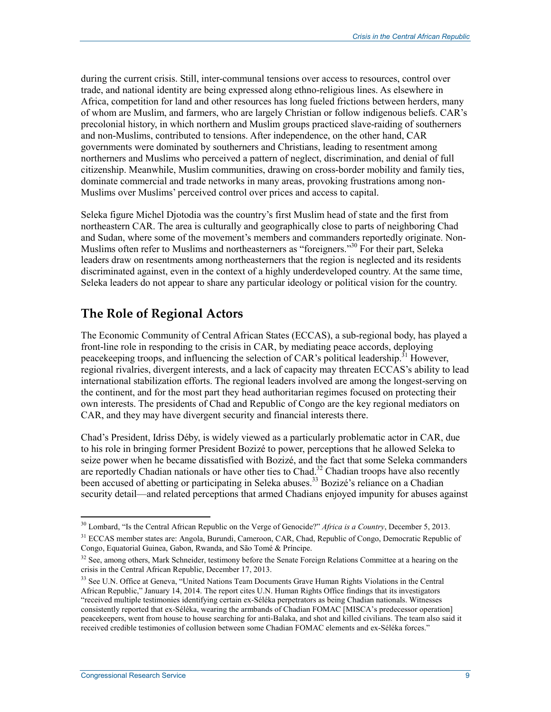during the current crisis. Still, inter-communal tensions over access to resources, control over trade, and national identity are being expressed along ethno-religious lines. As elsewhere in Africa, competition for land and other resources has long fueled frictions between herders, many of whom are Muslim, and farmers, who are largely Christian or follow indigenous beliefs. CAR's precolonial history, in which northern and Muslim groups practiced slave-raiding of southerners and non-Muslims, contributed to tensions. After independence, on the other hand, CAR governments were dominated by southerners and Christians, leading to resentment among northerners and Muslims who perceived a pattern of neglect, discrimination, and denial of full citizenship. Meanwhile, Muslim communities, drawing on cross-border mobility and family ties, dominate commercial and trade networks in many areas, provoking frustrations among non-Muslims over Muslims' perceived control over prices and access to capital.

Seleka figure Michel Djotodia was the country's first Muslim head of state and the first from northeastern CAR. The area is culturally and geographically close to parts of neighboring Chad and Sudan, where some of the movement's members and commanders reportedly originate. Non-Muslims often refer to Muslims and northeasterners as "foreigners."<sup>30</sup> For their part, Seleka leaders draw on resentments among northeasterners that the region is neglected and its residents discriminated against, even in the context of a highly underdeveloped country. At the same time, Seleka leaders do not appear to share any particular ideology or political vision for the country.

#### **The Role of Regional Actors**

The Economic Community of Central African States (ECCAS), a sub-regional body, has played a front-line role in responding to the crisis in CAR, by mediating peace accords, deploying peacekeeping troops, and influencing the selection of CAR's political leadership.<sup>31</sup> However, regional rivalries, divergent interests, and a lack of capacity may threaten ECCAS's ability to lead international stabilization efforts. The regional leaders involved are among the longest-serving on the continent, and for the most part they head authoritarian regimes focused on protecting their own interests. The presidents of Chad and Republic of Congo are the key regional mediators on CAR, and they may have divergent security and financial interests there.

Chad's President, Idriss Déby, is widely viewed as a particularly problematic actor in CAR, due to his role in bringing former President Bozizé to power, perceptions that he allowed Seleka to seize power when he became dissatisfied with Bozizé, and the fact that some Seleka commanders are reportedly Chadian nationals or have other ties to Chad.<sup>32</sup> Chadian troops have also recently been accused of abetting or participating in Seleka abuses.<sup>33</sup> Bozizé's reliance on a Chadian security detail—and related perceptions that armed Chadians enjoyed impunity for abuses against

<sup>&</sup>lt;u>.</u> <sup>30</sup> Lombard, "Is the Central African Republic on the Verge of Genocide?" *Africa is a Country*, December 5, 2013.

<sup>&</sup>lt;sup>31</sup> ECCAS member states are: Angola, Burundi, Cameroon, CAR, Chad, Republic of Congo, Democratic Republic of Congo, Equatorial Guinea, Gabon, Rwanda, and São Tomé & Príncipe.

<sup>&</sup>lt;sup>32</sup> See, among others, Mark Schneider, testimony before the Senate Foreign Relations Committee at a hearing on the crisis in the Central African Republic, December 17, 2013.

<sup>&</sup>lt;sup>33</sup> See U.N. Office at Geneva, "United Nations Team Documents Grave Human Rights Violations in the Central African Republic," January 14, 2014. The report cites U.N. Human Rights Office findings that its investigators "received multiple testimonies identifying certain ex-Séléka perpetrators as being Chadian nationals. Witnesses consistently reported that ex-Séléka, wearing the armbands of Chadian FOMAC [MISCA's predecessor operation] peacekeepers, went from house to house searching for anti-Balaka, and shot and killed civilians. The team also said it received credible testimonies of collusion between some Chadian FOMAC elements and ex-Séléka forces."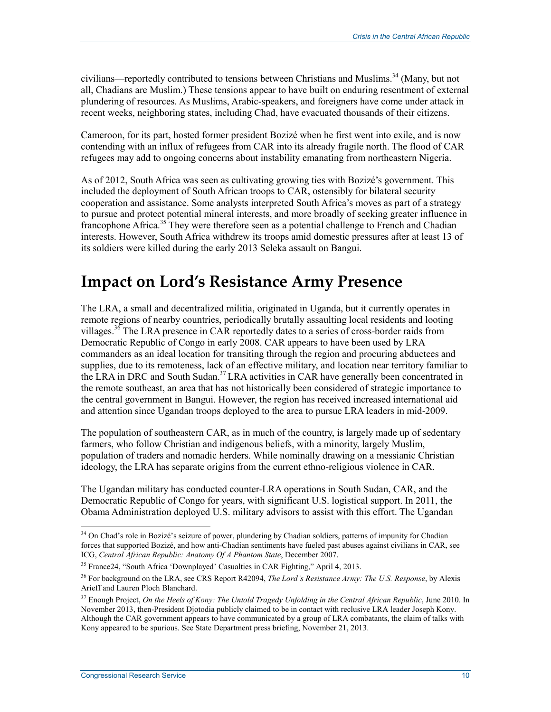civilians—reportedly contributed to tensions between Christians and Muslims.<sup>34</sup> (Many, but not all, Chadians are Muslim.) These tensions appear to have built on enduring resentment of external plundering of resources. As Muslims, Arabic-speakers, and foreigners have come under attack in recent weeks, neighboring states, including Chad, have evacuated thousands of their citizens.

Cameroon, for its part, hosted former president Bozizé when he first went into exile, and is now contending with an influx of refugees from CAR into its already fragile north. The flood of CAR refugees may add to ongoing concerns about instability emanating from northeastern Nigeria.

As of 2012, South Africa was seen as cultivating growing ties with Bozizé's government. This included the deployment of South African troops to CAR, ostensibly for bilateral security cooperation and assistance. Some analysts interpreted South Africa's moves as part of a strategy to pursue and protect potential mineral interests, and more broadly of seeking greater influence in francophone Africa.<sup>35</sup> They were therefore seen as a potential challenge to French and Chadian interests. However, South Africa withdrew its troops amid domestic pressures after at least 13 of its soldiers were killed during the early 2013 Seleka assault on Bangui.

## **Impact on Lord's Resistance Army Presence**

The LRA, a small and decentralized militia, originated in Uganda, but it currently operates in remote regions of nearby countries, periodically brutally assaulting local residents and looting villages.<sup>36</sup> The LRA presence in CAR reportedly dates to a series of cross-border raids from Democratic Republic of Congo in early 2008. CAR appears to have been used by LRA commanders as an ideal location for transiting through the region and procuring abductees and supplies, due to its remoteness, lack of an effective military, and location near territory familiar to the LRA in DRC and South Sudan.<sup>37</sup> LRA activities in CAR have generally been concentrated in the remote southeast, an area that has not historically been considered of strategic importance to the central government in Bangui. However, the region has received increased international aid and attention since Ugandan troops deployed to the area to pursue LRA leaders in mid-2009.

The population of southeastern CAR, as in much of the country, is largely made up of sedentary farmers, who follow Christian and indigenous beliefs, with a minority, largely Muslim, population of traders and nomadic herders. While nominally drawing on a messianic Christian ideology, the LRA has separate origins from the current ethno-religious violence in CAR.

The Ugandan military has conducted counter-LRA operations in South Sudan, CAR, and the Democratic Republic of Congo for years, with significant U.S. logistical support. In 2011, the Obama Administration deployed U.S. military advisors to assist with this effort. The Ugandan

<sup>&</sup>lt;sup>34</sup> On Chad's role in Bozizé's seizure of power, plundering by Chadian soldiers, patterns of impunity for Chadian forces that supported Bozizé, and how anti-Chadian sentiments have fueled past abuses against civilians in CAR, see ICG, *Central African Republic: Anatomy Of A Phantom State*, December 2007.

<sup>35</sup> France24, "South Africa 'Downplayed' Casualties in CAR Fighting," April 4, 2013.

<sup>36</sup> For background on the LRA, see CRS Report R42094, *The Lord's Resistance Army: The U.S. Response*, by Alexis Arieff and Lauren Ploch Blanchard.

<sup>37</sup> Enough Project, *On the Heels of Kony: The Untold Tragedy Unfolding in the Central African Republic*, June 2010. In November 2013, then-President Djotodia publicly claimed to be in contact with reclusive LRA leader Joseph Kony. Although the CAR government appears to have communicated by a group of LRA combatants, the claim of talks with Kony appeared to be spurious. See State Department press briefing, November 21, 2013.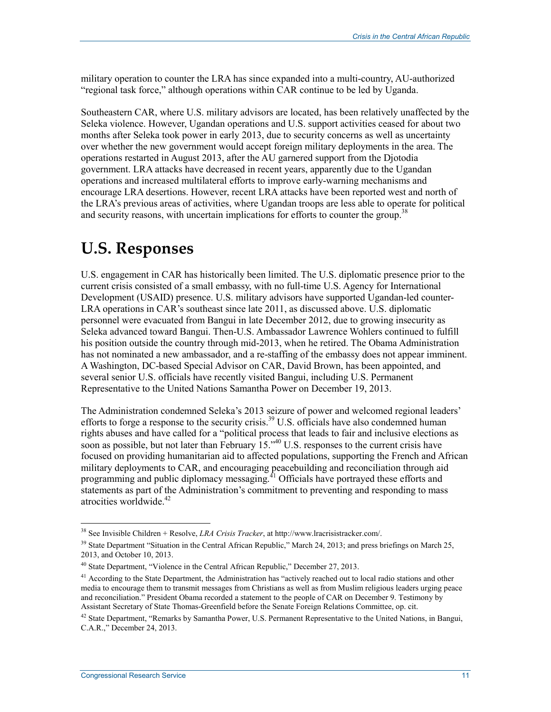military operation to counter the LRA has since expanded into a multi-country, AU-authorized "regional task force," although operations within CAR continue to be led by Uganda.

Southeastern CAR, where U.S. military advisors are located, has been relatively unaffected by the Seleka violence. However, Ugandan operations and U.S. support activities ceased for about two months after Seleka took power in early 2013, due to security concerns as well as uncertainty over whether the new government would accept foreign military deployments in the area. The operations restarted in August 2013, after the AU garnered support from the Djotodia government. LRA attacks have decreased in recent years, apparently due to the Ugandan operations and increased multilateral efforts to improve early-warning mechanisms and encourage LRA desertions. However, recent LRA attacks have been reported west and north of the LRA's previous areas of activities, where Ugandan troops are less able to operate for political and security reasons, with uncertain implications for efforts to counter the group.<sup>38</sup>

# **U.S. Responses**

U.S. engagement in CAR has historically been limited. The U.S. diplomatic presence prior to the current crisis consisted of a small embassy, with no full-time U.S. Agency for International Development (USAID) presence. U.S. military advisors have supported Ugandan-led counter-LRA operations in CAR's southeast since late 2011, as discussed above. U.S. diplomatic personnel were evacuated from Bangui in late December 2012, due to growing insecurity as Seleka advanced toward Bangui. Then-U.S. Ambassador Lawrence Wohlers continued to fulfill his position outside the country through mid-2013, when he retired. The Obama Administration has not nominated a new ambassador, and a re-staffing of the embassy does not appear imminent. A Washington, DC-based Special Advisor on CAR, David Brown, has been appointed, and several senior U.S. officials have recently visited Bangui, including U.S. Permanent Representative to the United Nations Samantha Power on December 19, 2013.

The Administration condemned Seleka's 2013 seizure of power and welcomed regional leaders' efforts to forge a response to the security crisis.<sup>39</sup> U.S. officials have also condemned human rights abuses and have called for a "political process that leads to fair and inclusive elections as soon as possible, but not later than February 15.<sup>240</sup> U.S. responses to the current crisis have focused on providing humanitarian aid to affected populations, supporting the French and African military deployments to CAR, and encouraging peacebuilding and reconciliation through aid programming and public diplomacy messaging.<sup>41</sup> Officials have portrayed these efforts and statements as part of the Administration's commitment to preventing and responding to mass atrocities worldwide. $42$ 

<sup>38</sup> See Invisible Children + Resolve, *LRA Crisis Tracker*, at http://www.lracrisistracker.com/.

<sup>&</sup>lt;sup>39</sup> State Department "Situation in the Central African Republic," March 24, 2013; and press briefings on March 25, 2013, and October 10, 2013.

<sup>&</sup>lt;sup>40</sup> State Department, "Violence in the Central African Republic," December 27, 2013.

<sup>&</sup>lt;sup>41</sup> According to the State Department, the Administration has "actively reached out to local radio stations and other media to encourage them to transmit messages from Christians as well as from Muslim religious leaders urging peace and reconciliation." President Obama recorded a statement to the people of CAR on December 9. Testimony by Assistant Secretary of State Thomas-Greenfield before the Senate Foreign Relations Committee, op. cit.

<sup>&</sup>lt;sup>42</sup> State Department, "Remarks by Samantha Power, U.S. Permanent Representative to the United Nations, in Bangui, C.A.R.," December 24, 2013.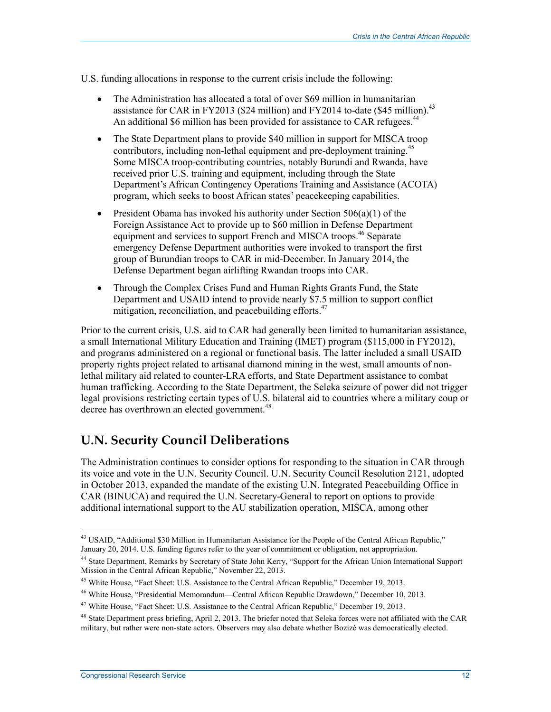U.S. funding allocations in response to the current crisis include the following:

- The Administration has allocated a total of over \$69 million in humanitarian assistance for CAR in FY2013 (\$24 million) and FY2014 to-date (\$45 million).<sup>43</sup> An additional \$6 million has been provided for assistance to CAR refugees.<sup>44</sup>
- The State Department plans to provide \$40 million in support for MISCA troop contributors, including non-lethal equipment and pre-deployment training.<sup>45</sup> Some MISCA troop-contributing countries, notably Burundi and Rwanda, have received prior U.S. training and equipment, including through the State Department's African Contingency Operations Training and Assistance (ACOTA) program, which seeks to boost African states' peacekeeping capabilities.
- President Obama has invoked his authority under Section  $506(a)(1)$  of the Foreign Assistance Act to provide up to \$60 million in Defense Department equipment and services to support French and MISCA troops.<sup>46</sup> Separate emergency Defense Department authorities were invoked to transport the first group of Burundian troops to CAR in mid-December. In January 2014, the Defense Department began airlifting Rwandan troops into CAR.
- Through the Complex Crises Fund and Human Rights Grants Fund, the State Department and USAID intend to provide nearly \$7.5 million to support conflict mitigation, reconciliation, and peacebuilding efforts.<sup>47</sup>

Prior to the current crisis, U.S. aid to CAR had generally been limited to humanitarian assistance, a small International Military Education and Training (IMET) program (\$115,000 in FY2012), and programs administered on a regional or functional basis. The latter included a small USAID property rights project related to artisanal diamond mining in the west, small amounts of nonlethal military aid related to counter-LRA efforts, and State Department assistance to combat human trafficking. According to the State Department, the Seleka seizure of power did not trigger legal provisions restricting certain types of U.S. bilateral aid to countries where a military coup or decree has overthrown an elected government.<sup>48</sup>

### **U.N. Security Council Deliberations**

The Administration continues to consider options for responding to the situation in CAR through its voice and vote in the U.N. Security Council. U.N. Security Council Resolution 2121, adopted in October 2013, expanded the mandate of the existing U.N. Integrated Peacebuilding Office in CAR (BINUCA) and required the U.N. Secretary-General to report on options to provide additional international support to the AU stabilization operation, MISCA, among other

<sup>1</sup> <sup>43</sup> USAID, "Additional \$30 Million in Humanitarian Assistance for the People of the Central African Republic," January 20, 2014. U.S. funding figures refer to the year of commitment or obligation, not appropriation.

<sup>&</sup>lt;sup>44</sup> State Department, Remarks by Secretary of State John Kerry, "Support for the African Union International Support Mission in the Central African Republic," November 22, 2013.

<sup>45</sup> White House, "Fact Sheet: U.S. Assistance to the Central African Republic," December 19, 2013.

<sup>46</sup> White House, "Presidential Memorandum—Central African Republic Drawdown," December 10, 2013.

<sup>&</sup>lt;sup>47</sup> White House, "Fact Sheet: U.S. Assistance to the Central African Republic," December 19, 2013.

<sup>&</sup>lt;sup>48</sup> State Department press briefing, April 2, 2013. The briefer noted that Seleka forces were not affiliated with the CAR military, but rather were non-state actors. Observers may also debate whether Bozizé was democratically elected.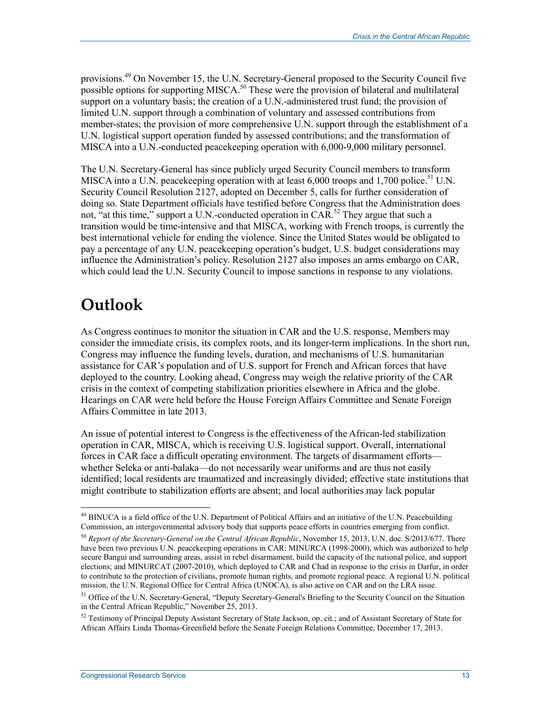provisions.<sup>49</sup> On November 15, the U.N. Secretary-General proposed to the Security Council five possible options for supporting MISCA.<sup>50</sup> These were the provision of bilateral and multilateral support on a voluntary basis; the creation of a U.N.-administered trust fund; the provision of limited U.N. support through a combination of voluntary and assessed contributions from member-states; the provision of more comprehensive U.N. support through the establishment of a U.N. logistical support operation funded by assessed contributions; and the transformation of MISCA into a U.N.-conducted peacekeeping operation with 6,000-9,000 military personnel.

The U.N. Secretary-General has since publicly urged Security Council members to transform MISCA into a U.N. peacekeeping operation with at least  $6,000$  troops and  $1,700$  police.<sup>51</sup> U.N. Security Council Resolution 2127, adopted on December 5, calls for further consideration of doing so. State Department officials have testified before Congress that the Administration does not, "at this time," support a U.N.-conducted operation in CAR.<sup>52</sup> They argue that such a transition would be time-intensive and that MISCA, working with French troops, is currently the best international vehicle for ending the violence. Since the United States would be obligated to pay a percentage of any U.N. peacekeeping operation's budget, U.S. budget considerations may influence the Administration's policy. Resolution 2127 also imposes an arms embargo on CAR, which could lead the U.N. Security Council to impose sanctions in response to any violations.

# **Outlook**

1

As Congress continues to monitor the situation in CAR and the U.S. response, Members may consider the immediate crisis, its complex roots, and its longer-term implications. In the short run, Congress may influence the funding levels, duration, and mechanisms of U.S. humanitarian assistance for CAR's population and of U.S. support for French and African forces that have deployed to the country. Looking ahead, Congress may weigh the relative priority of the CAR crisis in the context of competing stabilization priorities elsewhere in Africa and the globe. Hearings on CAR were held before the House Foreign Affairs Committee and Senate Foreign Affairs Committee in late 2013.

An issue of potential interest to Congress is the effectiveness of the African-led stabilization operation in CAR, MISCA, which is receiving U.S. logistical support. Overall, international forces in CAR face a difficult operating environment. The targets of disarmament efforts whether Seleka or anti-balaka—do not necessarily wear uniforms and are thus not easily identified; local residents are traumatized and increasingly divided; effective state institutions that might contribute to stabilization efforts are absent; and local authorities may lack popular

 $49$  BINUCA is a field office of the U.N. Department of Political Affairs and an initiative of the U.N. Peacebuilding Commission, an intergovernmental advisory body that supports peace efforts in countries emerging from conflict.

<sup>50</sup> *Report of the Secretary-General on the Central African Republic*, November 15, 2013, U.N. doc. S/2013/677. There have been two previous U.N. peacekeeping operations in CAR: MINURCA (1998-2000), which was authorized to help secure Bangui and surrounding areas, assist in rebel disarmament, build the capacity of the national police, and support elections; and MINURCAT (2007-2010), which deployed to CAR and Chad in response to the crisis in Darfur, in order to contribute to the protection of civilians, promote human rights, and promote regional peace. A regional U.N. political mission, the U.N. Regional Office for Central Africa (UNOCA), is also active on CAR and on the LRA issue.

<sup>&</sup>lt;sup>51</sup> Office of the U.N. Secretary-General, "Deputy Secretary-General's Briefing to the Security Council on the Situation in the Central African Republic," November 25, 2013.

<sup>52</sup> Testimony of Principal Deputy Assistant Secretary of State Jackson, op. cit.; and of Assistant Secretary of State for African Affairs Linda Thomas-Greenfield before the Senate Foreign Relations Committee, December 17, 2013.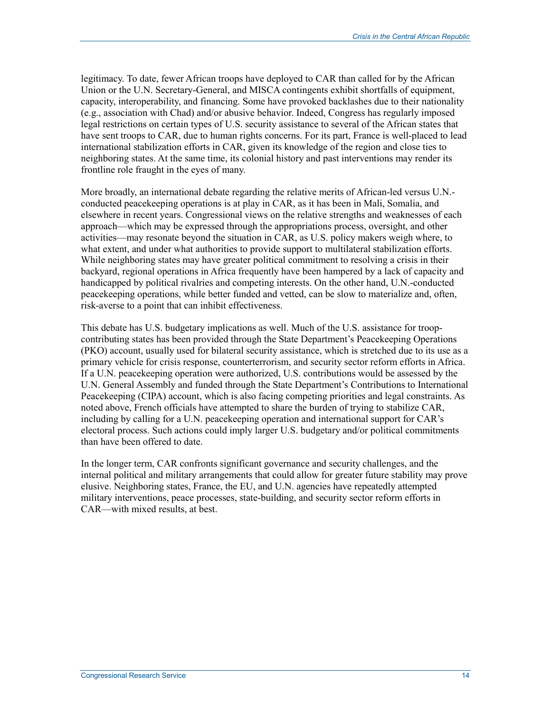legitimacy. To date, fewer African troops have deployed to CAR than called for by the African Union or the U.N. Secretary-General, and MISCA contingents exhibit shortfalls of equipment, capacity, interoperability, and financing. Some have provoked backlashes due to their nationality (e.g., association with Chad) and/or abusive behavior. Indeed, Congress has regularly imposed legal restrictions on certain types of U.S. security assistance to several of the African states that have sent troops to CAR, due to human rights concerns. For its part, France is well-placed to lead international stabilization efforts in CAR, given its knowledge of the region and close ties to neighboring states. At the same time, its colonial history and past interventions may render its frontline role fraught in the eyes of many.

More broadly, an international debate regarding the relative merits of African-led versus U.N. conducted peacekeeping operations is at play in CAR, as it has been in Mali, Somalia, and elsewhere in recent years. Congressional views on the relative strengths and weaknesses of each approach—which may be expressed through the appropriations process, oversight, and other activities—may resonate beyond the situation in CAR, as U.S. policy makers weigh where, to what extent, and under what authorities to provide support to multilateral stabilization efforts. While neighboring states may have greater political commitment to resolving a crisis in their backyard, regional operations in Africa frequently have been hampered by a lack of capacity and handicapped by political rivalries and competing interests. On the other hand, U.N.-conducted peacekeeping operations, while better funded and vetted, can be slow to materialize and, often, risk-averse to a point that can inhibit effectiveness.

This debate has U.S. budgetary implications as well. Much of the U.S. assistance for troopcontributing states has been provided through the State Department's Peacekeeping Operations (PKO) account, usually used for bilateral security assistance, which is stretched due to its use as a primary vehicle for crisis response, counterterrorism, and security sector reform efforts in Africa. If a U.N. peacekeeping operation were authorized, U.S. contributions would be assessed by the U.N. General Assembly and funded through the State Department's Contributions to International Peacekeeping (CIPA) account, which is also facing competing priorities and legal constraints. As noted above, French officials have attempted to share the burden of trying to stabilize CAR, including by calling for a U.N. peacekeeping operation and international support for CAR's electoral process. Such actions could imply larger U.S. budgetary and/or political commitments than have been offered to date.

In the longer term, CAR confronts significant governance and security challenges, and the internal political and military arrangements that could allow for greater future stability may prove elusive. Neighboring states, France, the EU, and U.N. agencies have repeatedly attempted military interventions, peace processes, state-building, and security sector reform efforts in CAR—with mixed results, at best.